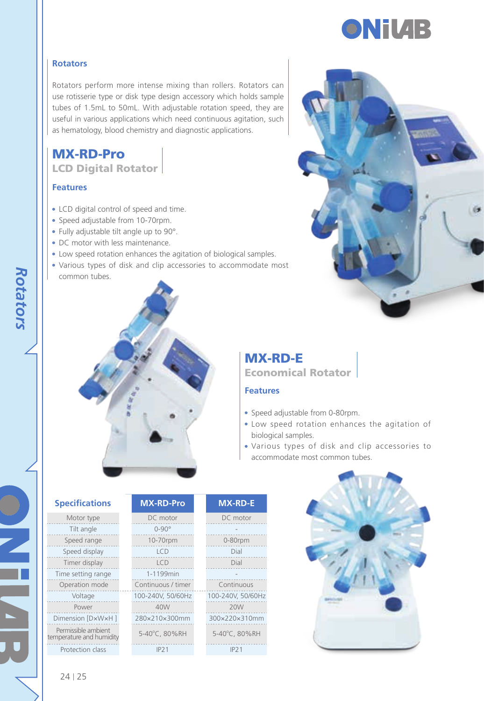

#### **Rotators**

Rotators perform more intense mixing than rollers. Rotators can use rotisserie type or disk type design accessory which holds sample tubes of 1.5mL to 50mL. With adjustable rotation speed, they are useful in various applications which need continuous agitation, such as hematology, blood chemistry and diagnostic applications.

# MX-RD-Pro

LCD Digital Rotator

#### **Features**

- LCD digital control of speed and time.
- Speed adjustable from 10-70rpm.
- Fully adjustable tilt angle up to 90°.
- DC motor with less maintenance.
- Low speed rotation enhances the agitation of biological samples.
- Various types of disk and clip accessories to accommodate most common tubes.



# MX-RD-E Economical Rotator

#### **Features**

- Speed adjustable from 0-80rpm.
- Low speed rotation enhances the agitation of biological samples.
- Various types of disk and clip accessories to accommodate most common tubes.



## **Specifications**

| Motor type                                      | D)                 |
|-------------------------------------------------|--------------------|
| Tilt angle                                      |                    |
| Speed range                                     | 10                 |
| Speed display                                   |                    |
| Timer display                                   |                    |
| Time setting range                              | $1 -$ <sup>-</sup> |
| Operation mode                                  | Contin             |
| Voltage                                         | 100-24             |
| Power                                           |                    |
| Dimension [DxWxH]                               | 280×2              |
| Permissible ambient<br>temperature and humidity | $5 - 40^{\circ}$   |
| Protection class                                |                    |

| DC motor           | DC motor          |
|--------------------|-------------------|
| $0 - 90^\circ$     |                   |
| 10-70rpm           | 0-80rpm           |
| ICD                | Dial              |
| ICD                | Dial              |
| 1-1199min          |                   |
| Continuous / timer | Continuous        |
| 100-240V, 50/60Hz  | 100-240V, 50/60Hz |
| 40W                | 20W               |
| 280×210×300mm      | 300×220×310mm     |
| 5-40°C. 80%RH      | 5-40°C. 80%RH     |
| IP21               | IP21              |
|                    |                   |

**MX-RD-Pro MX-RD-E**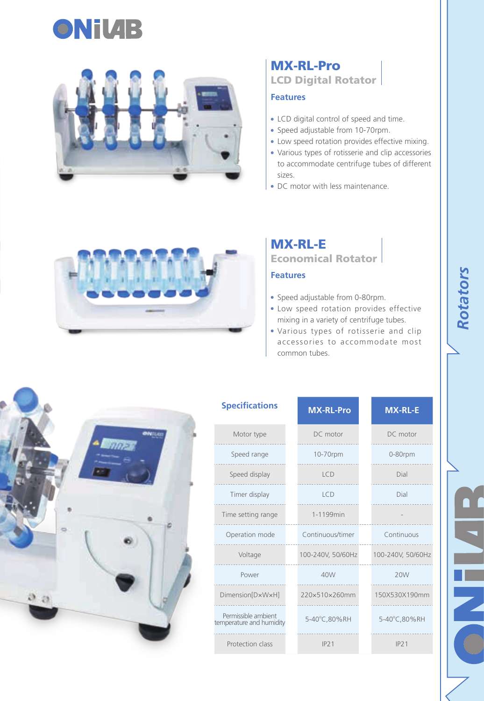



## MX-RL-Pro LCD Digital Rotator

### **Features**

- LCD digital control of speed and time.
- Speed adjustable from 10-70rpm.
- Low speed rotation provides effective mixing.
- Various types of rotisserie and clip accessories to accommodate centrifuge tubes of different sizes.
- DC motor with less maintenance.



# MX-RL-E

Economical Rotator

## **Features**

- Speed adjustable from 0-80rpm.
- Low speed rotation provides effective mixing in a variety of centrifuge tubes.
- Various types of rotisserie and clip accessories to accommodate most common tubes.



| <b>Specifications</b>                           | <b>MX-RL-Pro</b>  | <b>MX-RL-E</b>    |
|-------------------------------------------------|-------------------|-------------------|
| Motor type                                      | DC motor          | DC motor          |
| Speed range                                     | 10-70rpm          | 0-80rpm           |
| Speed display                                   | <b>ICD</b>        | Dial              |
| Timer display                                   | ICD               | Dial              |
| Time setting range                              | 1-1199min         |                   |
| Operation mode                                  | Continuous/timer  | Continuous        |
| Voltage                                         | 100-240V, 50/60Hz | 100-240V, 50/60Hz |
| Power                                           | 40W               | 20W               |
| Dimension[DxWxH]                                | 220×510×260mm     | 150X530X190mm     |
| Permissible ambient<br>temperature and humidity | 5-40°C,80%RH      | 5-40°C,80%RH      |
| Protection class                                | IP21              | IP21              |

Rotators *Rotators*